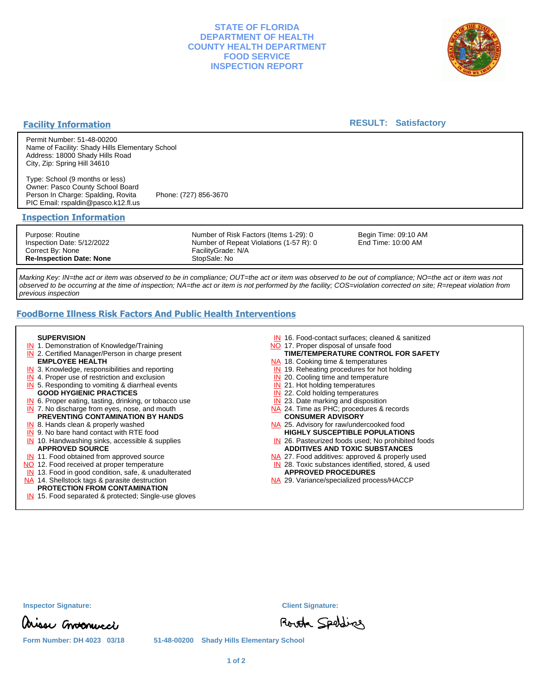# **STATE OF FLORIDA DEPARTMENT OF HEALTH COUNTY HEALTH DEPARTMENT FOOD SERVICE INSPECTION REPORT**



# **Facility Information**

#### **RESULT: Satisfactory**

Permit Number: 51-48-00200 Name of Facility: Shady Hills Elementary School Address: 18000 Shady Hills Road City, Zip: Spring Hill 34610

Type: School (9 months or less) Owner: Pasco County School Board Person In Charge: Spalding, Rovita Phone: (727) 856-3670 PIC Email: rspaldin@pasco.k12.fl.us

#### **Inspection Information**

Purpose: Routine Inspection Date: 5/12/2022 Correct By: None **Re-Inspection Date: None**

Number of Risk Factors (Items 1-29): 0 Number of Repeat Violations (1-57 R): 0 FacilityGrade: N/A StopSale: No

Begin Time: 09:10 AM End Time: 10:00 AM

Marking Key: IN=the act or item was observed to be in compliance; OUT=the act or item was observed to be out of compliance; NO=the act or item was not observed to be occurring at the time of inspection; NA=the act or item is not performed by the facility; COS=violation corrected on site; R=repeat violation from previous inspection

# **FoodBorne Illness Risk Factors And Public Health Interventions**

#### **SUPERVISION**

- **IN** 1. Demonstration of Knowledge/Training
- **IN** 2. Certified Manager/Person in charge present **EMPLOYEE HEALTH**
- **IN** 3. Knowledge, responsibilities and reporting
- **IN** 4. Proper use of restriction and exclusion
- **IN** 5. Responding to vomiting & diarrheal events
- **GOOD HYGIENIC PRACTICES**
- **IN** 6. Proper eating, tasting, drinking, or tobacco use **IN** 7. No discharge from eyes, nose, and mouth
- **PREVENTING CONTAMINATION BY HANDS**
- IN 8. Hands clean & properly washed
- **IN** 9. No bare hand contact with RTE food IN 10. Handwashing sinks, accessible & supplies **APPROVED SOURCE**
- **IN** 11. Food obtained from approved source
- NO 12. Food received at proper temperature
- IN 13. Food in good condition, safe, & unadulterated
- NA 14. Shellstock tags & parasite destruction

# **PROTECTION FROM CONTAMINATION**

IN 15. Food separated & protected; Single-use gloves

- IN 16. Food-contact surfaces; cleaned & sanitized
- NO 17. Proper disposal of unsafe food
- **TIME/TEMPERATURE CONTROL FOR SAFETY**
- NA 18. Cooking time & temperatures
- **IN** 19. Reheating procedures for hot holding
- **IN** 20. Cooling time and temperature
- IN 21. Hot holding temperatures
- **IN** 22. Cold holding temperatures
- **IN** 23. Date marking and disposition NA 24. Time as PHC; procedures & records **CONSUMER ADVISORY**
- NA 25. Advisory for raw/undercooked food **HIGHLY SUSCEPTIBLE POPULATIONS**
- IN 26. Pasteurized foods used; No prohibited foods **ADDITIVES AND TOXIC SUBSTANCES**
- NA 27. Food additives: approved & properly used
- IN 28. Toxic substances identified, stored, & used **APPROVED PROCEDURES**
- NA 29. Variance/specialized process/HACCP

arisse Corotonucci

**Form Number: DH 4023 03/18 51-48-00200 Shady Hills Elementary School**

Routh Spolding

**Inspector Signature: Client Signature:**